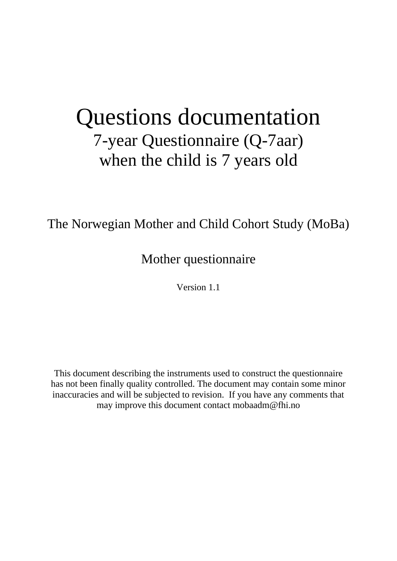# Questions documentation 7-year Questionnaire (Q-7aar) when the child is 7 years old

The Norwegian Mother and Child Cohort Study (MoBa)

Mother questionnaire

Version 1.1

This document describing the instruments used to construct the questionnaire has not been finally quality controlled. The document may contain some minor inaccuracies and will be subjected to revision. If you have any comments that may improve this document contact mobaadm@fhi.no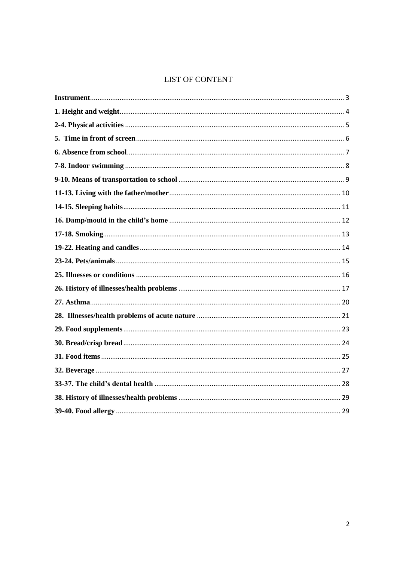### **LIST OF CONTENT**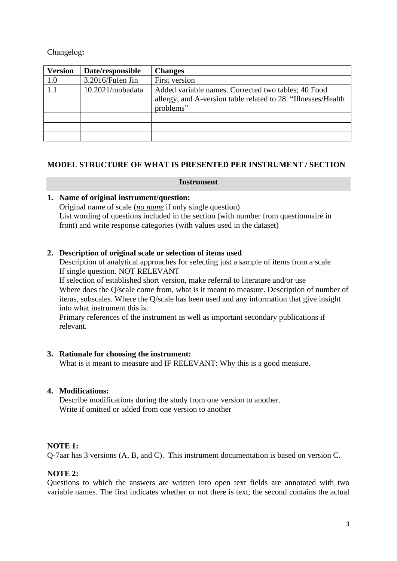Changelog**:**

| <b>Version</b> | Date/responsible    | <b>Changes</b>                                                                                                                    |
|----------------|---------------------|-----------------------------------------------------------------------------------------------------------------------------------|
| 1.0            | $3.2016$ /Fufen Jin | First version                                                                                                                     |
| 1.1            | 10.2021/moba data   | Added variable names. Corrected two tables; 40 Food<br>allergy, and A-version table related to 28. "Illnesses/Health<br>problems" |
|                |                     |                                                                                                                                   |
|                |                     |                                                                                                                                   |
|                |                     |                                                                                                                                   |

#### <span id="page-2-0"></span>**MODEL STRUCTURE OF WHAT IS PRESENTED PER INSTRUMENT / SECTION**

#### **Instrument**

#### **1. Name of original instrument/question:**

Original name of scale (*no name* if only single question) List wording of questions included in the section (with number from questionnaire in front) and write response categories (with values used in the dataset)

#### **2. Description of original scale or selection of items used**

Description of analytical approaches for selecting just a sample of items from a scale If single question. NOT RELEVANT

If selection of established short version, make referral to literature and/or use Where does the O/scale come from, what is it meant to measure. Description of number of items, subscales. Where the Q/scale has been used and any information that give insight into what instrument this is.

Primary references of the instrument as well as important secondary publications if relevant.

#### **3. Rationale for choosing the instrument:**

What is it meant to measure and IF RELEVANT: Why this is a good measure.

### **4. Modifications:**

Describe modifications during the study from one version to another. Write if omitted or added from one version to another

#### **NOTE 1:**

Q-7aar has 3 versions (A, B, and C). This instrument documentation is based on version C.

### **NOTE 2:**

Questions to which the answers are written into open text fields are annotated with two variable names. The first indicates whether or not there is text; the second contains the actual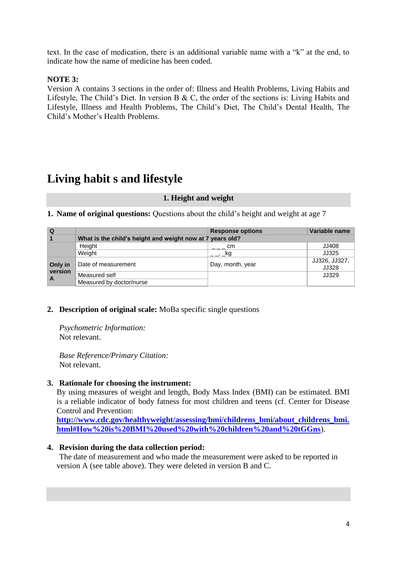text. In the case of medication, there is an additional variable name with a "k" at the end, to indicate how the name of medicine has been coded.

### **NOTE 3:**

Version A contains 3 sections in the order of: Illness and Health Problems, Living Habits and Lifestyle, The Child's Diet. In version B & C, the order of the sections is: Living Habits and Lifestyle, Illness and Health Problems, The Child's Diet, The Child's Dental Health, The Child's Mother's Health Problems.

# <span id="page-3-0"></span>**Living habit s and lifestyle**

#### **1. Height and weight**

**1. Name of original questions:** Questions about the child's height and weight at age 7

| Q            |                                                           | <b>Response options</b> | Variable name          |
|--------------|-----------------------------------------------------------|-------------------------|------------------------|
|              | What is the child's height and weight now at 7 years old? |                         |                        |
|              | Height                                                    | — cm                    | JJ408                  |
|              | Weight                                                    | <sub>. </sub> , _kg     | JJ325                  |
| Only in      | Date of measurement                                       | Day, month, year        | JJ326, JJ327,<br>JJ328 |
| version<br>A | Measured self                                             |                         | JJ329                  |
|              | Measured by doctor/nurse                                  |                         |                        |

#### **2. Description of original scale:** MoBa specific single questions

 *Psychometric Information:*  Not relevant.

 *Base Reference/Primary Citation:* Not relevant.

#### **3. Rationale for choosing the instrument:**

By using measures of weight and length, Body Mass Index (BMI) can be estimated. BMI is a reliable indicator of body fatness for most children and teens (cf. Center for Disease Control and Prevention:

**[http://www.cdc.gov/healthyweight/assessing/bmi/childrens\\_bmi/about\\_childrens\\_bmi.](http://www.cdc.gov/healthyweight/assessing/bmi/childrens_bmi/about_childrens_bmi.html#How%20is%20BMI%20used%20with%20children%20and%20teens) [html#How%20is%20BMI%20used%20with%20children%20and%20tGGns](http://www.cdc.gov/healthyweight/assessing/bmi/childrens_bmi/about_childrens_bmi.html#How%20is%20BMI%20used%20with%20children%20and%20teens)**).

#### **4. Revision during the data collection period:**

The date of measurement and who made the measurement were asked to be reported in version A (see table above). They were deleted in version B and C.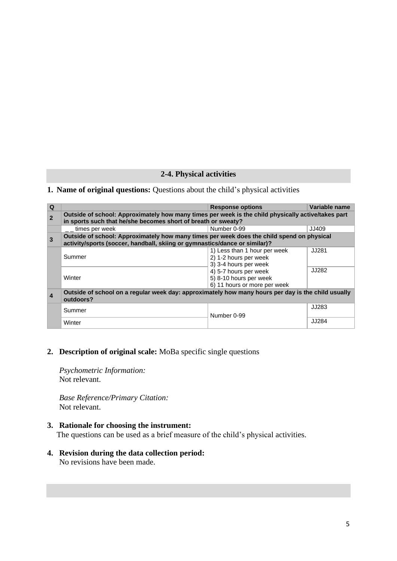#### **2-4. Physical activities**

### <span id="page-4-0"></span>**1. Name of original questions:** Questions about the child's physical activities

| $\Omega$         |                                                                                                                                                                     | <b>Response options</b>                                                         | Variable name |
|------------------|---------------------------------------------------------------------------------------------------------------------------------------------------------------------|---------------------------------------------------------------------------------|---------------|
| $\overline{2}$   | Outside of school: Approximately how many times per week is the child physically active/takes part<br>in sports such that he/she becomes short of breath or sweaty? |                                                                                 |               |
|                  | times per week                                                                                                                                                      | Number 0-99                                                                     | JJ409         |
| 3                | Outside of school: Approximately how many times per week does the child spend on physical                                                                           |                                                                                 |               |
|                  | activity/sports (soccer, handball, skiing or gymnastics/dance or similar)?                                                                                          |                                                                                 |               |
|                  | Summer                                                                                                                                                              | 1) Less than 1 hour per week<br>2) 1-2 hours per week<br>3) 3-4 hours per week  | JJ281         |
|                  | Winter                                                                                                                                                              | 4) 5-7 hours per week<br>5) 8-10 hours per week<br>6) 11 hours or more per week | JJ282         |
| $\boldsymbol{4}$ | Outside of school on a regular week day: approximately how many hours per day is the child usually<br>outdoors?                                                     |                                                                                 |               |
| Summer           |                                                                                                                                                                     | Number 0-99                                                                     | JJ283         |
|                  | Winter                                                                                                                                                              |                                                                                 | JJ284         |

#### **2. Description of original scale:** MoBa specific single questions

 *Psychometric Information:*  Not relevant.

 *Base Reference/Primary Citation:* Not relevant.

#### **3. Rationale for choosing the instrument:**

The questions can be used as a brief measure of the child's physical activities.

### **4. Revision during the data collection period:**

No revisions have been made.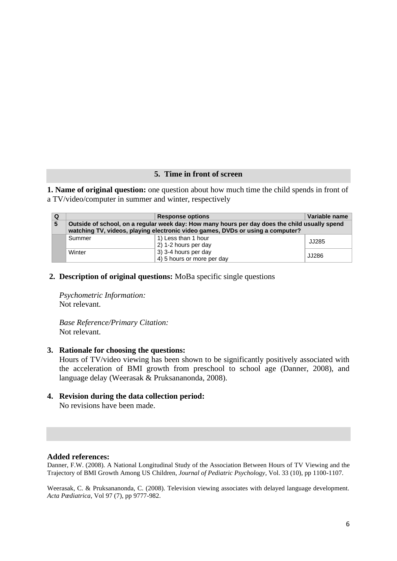#### **5. Time in front of screen**

<span id="page-5-0"></span>**1. Name of original question:** one question about how much time the child spends in front of a TV/video/computer in summer and winter, respectively

| Q | <b>Response options</b>                                                                                                                                                         |                                                    | Variable name |
|---|---------------------------------------------------------------------------------------------------------------------------------------------------------------------------------|----------------------------------------------------|---------------|
| 5 | Outside of school, on a regular week day: How many hours per day does the child usually spend<br>watching TV, videos, playing electronic video games, DVDs or using a computer? |                                                    |               |
|   | Summer                                                                                                                                                                          | 1) Less than 1 hour<br>2) 1-2 hours per day        | JJ285         |
|   | Winter                                                                                                                                                                          | 3) 3-4 hours per day<br>4) 5 hours or more per day | JJ286         |

#### **2. Description of original questions:** MoBa specific single questions

 *Psychometric Information:* Not relevant.

*Base Reference/Primary Citation:* Not relevant.

#### **3. Rationale for choosing the questions:**

 Hours of TV/video viewing has been shown to be significantly positively associated with the acceleration of BMI growth from preschool to school age (Danner, 2008), and language delay (Weerasak & Pruksananonda, 2008).

**4. Revision during the data collection period:** No revisions have been made.

#### **Added references:**

Danner, F.W. (2008). A National Longitudinal Study of the Association Between Hours of TV Viewing and the Trajectory of BMI Growth Among US Children, *Journal of Pediatric Psychology*, Vol. 33 (10), pp 1100-1107.

Weerasak, C. & Pruksananonda, C. (2008). Television viewing associates with delayed language development. *Acta Pædiatrica*, Vol 97 (7), pp 9777-982.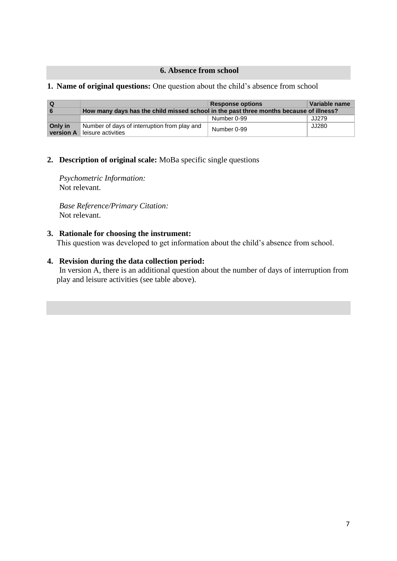#### <span id="page-6-0"></span>**6. Absence from school**

#### **1. Name of original questions:** One question about the child's absence from school

| ∣ Q                  |                                                                                        | <b>Response options</b> | Variable name |
|----------------------|----------------------------------------------------------------------------------------|-------------------------|---------------|
| <b>6</b>             | How many days has the child missed school in the past three months because of illness? |                         |               |
|                      |                                                                                        | Number 0-99             | JJ279         |
| Only in<br>version A | Number of days of interruption from play and<br>leisure activities                     | Number 0-99             | JJ280         |

#### **2. Description of original scale:** MoBa specific single questions

 *Psychometric Information:*  Not relevant.

 *Base Reference/Primary Citation:* Not relevant.

#### **3. Rationale for choosing the instrument:**

This question was developed to get information about the child's absence from school.

### **4. Revision during the data collection period:**

In version A, there is an additional question about the number of days of interruption from play and leisure activities (see table above).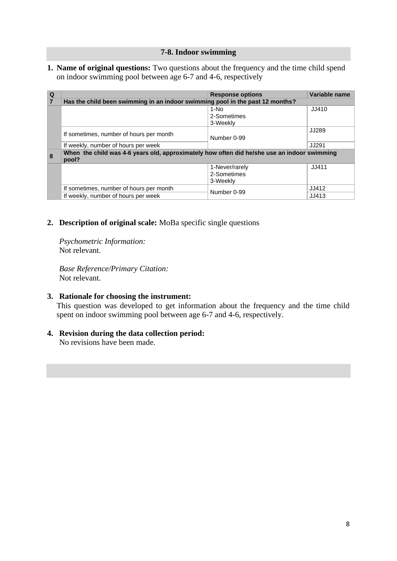#### **7-8. Indoor swimming**

<span id="page-7-0"></span>**1. Name of original questions:** Two questions about the frequency and the time child spend on indoor swimming pool between age 6-7 and 4-6, respectively

| $\overline{Q}$ |                                                                                             | <b>Response options</b> | Variable name |
|----------------|---------------------------------------------------------------------------------------------|-------------------------|---------------|
| $\overline{7}$ | Has the child been swimming in an indoor swimming pool in the past 12 months?               |                         |               |
|                |                                                                                             | 1-No                    | JJ410         |
|                |                                                                                             | 2-Sometimes             |               |
|                |                                                                                             | 3-Weekly                |               |
|                | If sometimes, number of hours per month                                                     |                         | JJ289         |
|                |                                                                                             | Number 0-99             |               |
|                | If weekly, number of hours per week                                                         |                         | JJ291         |
| 8              | When the child was 4-6 years old, approximately how often did he/she use an indoor swimming |                         |               |
|                | pool?                                                                                       |                         |               |
|                |                                                                                             | 1-Never/rarely          | JJ411         |
|                |                                                                                             | 2-Sometimes             |               |
|                |                                                                                             | 3-Weekly                |               |
|                | If sometimes, number of hours per month                                                     | Number 0-99             | JJ412         |
|                | If weekly, number of hours per week                                                         |                         | JJ413         |

### **2. Description of original scale:** MoBa specific single questions

 *Psychometric Information:*  Not relevant.

 *Base Reference/Primary Citation:* Not relevant.

### **3. Rationale for choosing the instrument:**

This question was developed to get information about the frequency and the time child spent on indoor swimming pool between age 6-7 and 4-6, respectively.

### **4. Revision during the data collection period:**

No revisions have been made.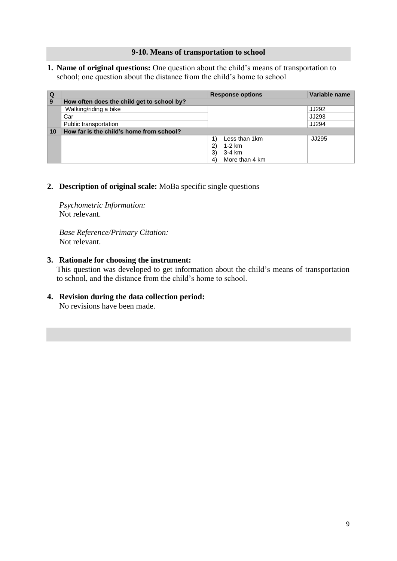#### **9-10. Means of transportation to school**

<span id="page-8-0"></span>**1. Name of original questions:** One question about the child's means of transportation to school; one question about the distance from the child's home to school

| Q  |                                            | <b>Response options</b>       | Variable name |
|----|--------------------------------------------|-------------------------------|---------------|
| 9  | How often does the child get to school by? |                               |               |
|    | Walking/riding a bike                      |                               | JJ292         |
|    | Car                                        |                               | JJ293         |
|    | Public transportation                      |                               | JJ294         |
| 10 | How far is the child's home from school?   |                               |               |
|    |                                            | Less than 1km                 | JJ295         |
|    |                                            | 2)<br>1-2 km                  |               |
|    |                                            | 3)<br>3-4 km                  |               |
|    |                                            | More than 4 km<br>$ 4\rangle$ |               |

**2. Description of original scale:** MoBa specific single questions

 *Psychometric Information:*  Not relevant.

 *Base Reference/Primary Citation:* Not relevant.

#### **3. Rationale for choosing the instrument:**

This question was developed to get information about the child's means of transportation to school, and the distance from the child's home to school.

**4. Revision during the data collection period:** No revisions have been made.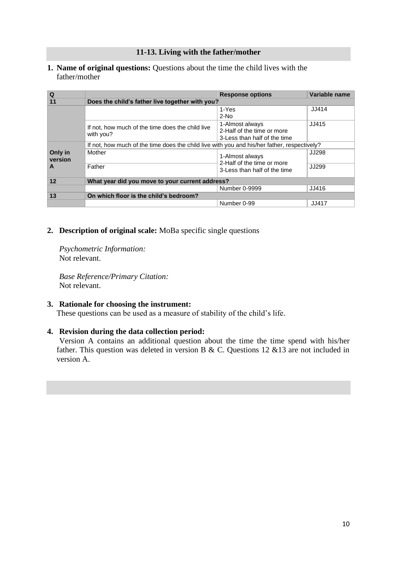#### **11-13. Living with the father/mother**

<span id="page-9-0"></span>**1. Name of original questions:** Questions about the time the child lives with the father/mother

| $\overline{Q}$     |                                                                                             | <b>Response options</b>                                    | Variable name |
|--------------------|---------------------------------------------------------------------------------------------|------------------------------------------------------------|---------------|
| 11                 | Does the child's father live together with you?                                             |                                                            |               |
|                    |                                                                                             |                                                            |               |
|                    |                                                                                             | 1-Yes                                                      | JJ414         |
|                    |                                                                                             | $2-N0$                                                     |               |
|                    | If not, how much of the time does the child live                                            | 1-Almost always                                            | JJ415         |
|                    | with you?                                                                                   | 2-Half of the time or more                                 |               |
|                    |                                                                                             | 3-Less than half of the time                               |               |
|                    | If not, how much of the time does the child live with you and his/her father, respectively? |                                                            |               |
| Only in<br>version | Mother                                                                                      | 1-Almost always                                            | <b>JJ298</b>  |
| A                  | Father                                                                                      | 2-Half of the time or more<br>3-Less than half of the time | JJ299         |
| 12                 | What year did you move to your current address?                                             |                                                            |               |
|                    |                                                                                             | Number 0-9999                                              | JJ416         |
| 13                 | On which floor is the child's bedroom?                                                      |                                                            |               |
|                    |                                                                                             | Number 0-99                                                | JJ417         |

#### **2. Description of original scale:** MoBa specific single questions

 *Psychometric Information:*  Not relevant.

 *Base Reference/Primary Citation:* Not relevant.

#### **3. Rationale for choosing the instrument:**

These questions can be used as a measure of stability of the child's life.

#### **4. Revision during the data collection period:**

Version A contains an additional question about the time the time spend with his/her father. This question was deleted in version B & C. Questions 12 &13 are not included in version A.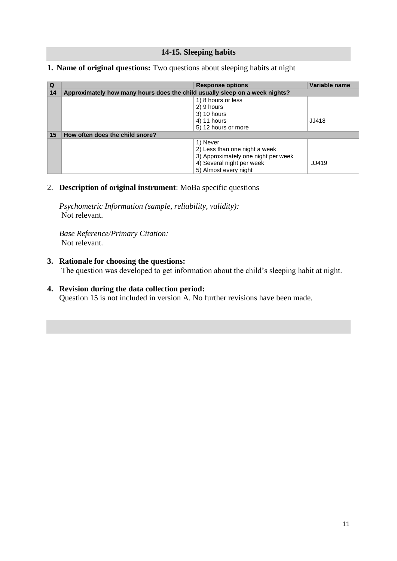#### **14-15. Sleeping habits**

| Q  |                                                                             | <b>Response options</b>             | Variable name |
|----|-----------------------------------------------------------------------------|-------------------------------------|---------------|
| 14 | Approximately how many hours does the child usually sleep on a week nights? |                                     |               |
|    |                                                                             | 1) 8 hours or less                  |               |
|    |                                                                             | 2) 9 hours                          |               |
|    |                                                                             | 3) 10 hours                         |               |
|    |                                                                             | 4) 11 hours                         | JJ418         |
|    |                                                                             | 5) 12 hours or more                 |               |
| 15 | How often does the child snore?                                             |                                     |               |
|    |                                                                             | 1) Never                            |               |
|    |                                                                             | 2) Less than one night a week       |               |
|    |                                                                             | 3) Approximately one night per week |               |
|    |                                                                             | 4) Several night per week           | <b>JJ419</b>  |
|    |                                                                             | 5) Almost every night               |               |

#### <span id="page-10-0"></span>**1. Name of original questions:** Two questions about sleeping habits at night

#### 2. **Description of original instrument**: MoBa specific questions

 *Psychometric Information (sample, reliability, validity):* Not relevant.

*Base Reference/Primary Citation:* Not relevant.

#### **3. Rationale for choosing the questions:**

The question was developed to get information about the child's sleeping habit at night.

### **4. Revision during the data collection period:**

Question 15 is not included in version A. No further revisions have been made.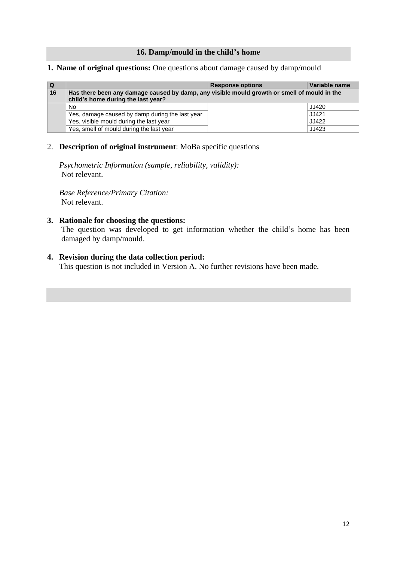#### **16. Damp/mould in the child's home**

#### <span id="page-11-0"></span>**1. Name of original questions:** One questions about damage caused by damp/mould

| l Q |                                                                                             | <b>Response options</b> | Variable name |
|-----|---------------------------------------------------------------------------------------------|-------------------------|---------------|
| 16  | Has there been any damage caused by damp, any visible mould growth or smell of mould in the |                         |               |
|     | child's home during the last year?                                                          |                         |               |
|     | No.                                                                                         |                         | JJ420         |
|     | Yes, damage caused by damp during the last year                                             |                         | JJ421         |
|     | Yes, visible mould during the last year                                                     |                         | JJ422         |
|     | Yes, smell of mould during the last year                                                    |                         | JJ423         |

### 2. **Description of original instrument**: MoBa specific questions

 *Psychometric Information (sample, reliability, validity):* Not relevant.

*Base Reference/Primary Citation:* Not relevant.

#### **3. Rationale for choosing the questions:**

The question was developed to get information whether the child's home has been damaged by damp/mould.

#### **4. Revision during the data collection period:**

This question is not included in Version A. No further revisions have been made.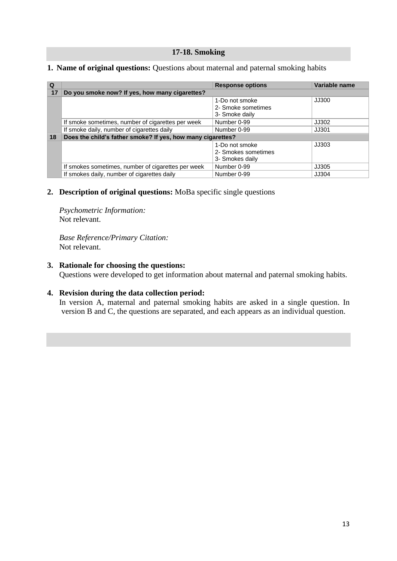#### **17-18. Smoking**

| $\Omega$ |                                                             | <b>Response options</b>                                  | Variable name |
|----------|-------------------------------------------------------------|----------------------------------------------------------|---------------|
| 17       | Do you smoke now? If yes, how many cigarettes?              |                                                          |               |
|          |                                                             | 1-Do not smoke<br>2- Smoke sometimes<br>3- Smoke daily   | JJ300         |
|          | If smoke sometimes, number of cigarettes per week           | Number 0-99                                              | JJ302         |
|          | If smoke daily, number of cigarettes daily                  | Number 0-99                                              | JJ301         |
| 18       | Does the child's father smoke? If yes, how many cigarettes? |                                                          |               |
|          |                                                             | 1-Do not smoke<br>2- Smokes sometimes<br>3- Smokes daily | JJ303         |
|          | If smokes sometimes, number of cigarettes per week          | Number 0-99                                              | JJ305         |
|          | If smokes daily, number of cigarettes daily                 | Number 0-99                                              | JJ304         |

#### <span id="page-12-0"></span>**1. Name of original questions:** Questions about maternal and paternal smoking habits

#### **2. Description of original questions:** MoBa specific single questions

 *Psychometric Information:* Not relevant.

*Base Reference/Primary Citation:* Not relevant.

#### **3. Rationale for choosing the questions:**

Questions were developed to get information about maternal and paternal smoking habits.

#### **4. Revision during the data collection period:**

In version A, maternal and paternal smoking habits are asked in a single question. In version B and C, the questions are separated, and each appears as an individual question.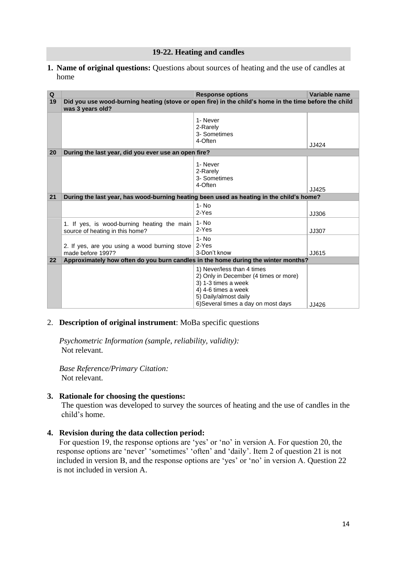#### **19-22. Heating and candles**

<span id="page-13-0"></span>**1. Name of original questions:** Questions about sources of heating and the use of candles at home

| Q  |                                                                                                                            | <b>Response options</b>                                                                                                                                                           | Variable name |
|----|----------------------------------------------------------------------------------------------------------------------------|-----------------------------------------------------------------------------------------------------------------------------------------------------------------------------------|---------------|
| 19 | Did you use wood-burning heating (stove or open fire) in the child's home in the time before the child<br>was 3 years old? |                                                                                                                                                                                   |               |
|    |                                                                                                                            | 1- Never<br>2-Rarely<br>3- Sometimes<br>4-Often                                                                                                                                   | JJ424         |
| 20 | During the last year, did you ever use an open fire?                                                                       |                                                                                                                                                                                   |               |
|    |                                                                                                                            | 1- Never<br>2-Rarely<br>3- Sometimes<br>4-Often                                                                                                                                   | JJ425         |
| 21 | During the last year, has wood-burning heating been used as heating in the child's home?                                   |                                                                                                                                                                                   |               |
|    |                                                                                                                            | $1 - No$<br>2-Yes                                                                                                                                                                 | JJ306         |
|    | 1. If yes, is wood-burning heating the main<br>source of heating in this home?                                             | $1 - No$<br>2-Yes                                                                                                                                                                 | JJ307         |
|    | 2. If yes, are you using a wood burning stove<br>made before 1997?                                                         | $1 - No$<br>2-Yes<br>3-Don't know                                                                                                                                                 | JJ615         |
| 22 | Approximately how often do you burn candles in the home during the winter months?                                          |                                                                                                                                                                                   |               |
|    |                                                                                                                            | 1) Never/less than 4 times<br>2) Only in December (4 times or more)<br>3) 1-3 times a week<br>4) 4-6 times a week<br>5) Daily/almost daily<br>6) Several times a day on most days | JJ426         |

#### 2. **Description of original instrument**: MoBa specific questions

 *Psychometric Information (sample, reliability, validity):* Not relevant.

*Base Reference/Primary Citation:* Not relevant.

#### **3. Rationale for choosing the questions:**

The question was developed to survey the sources of heating and the use of candles in the child's home.

#### **4. Revision during the data collection period:**

For question 19, the response options are 'yes' or 'no' in version A. For question 20, the response options are 'never' 'sometimes' 'often' and 'daily'. Item 2 of question 21 is not included in version B, and the response options are 'yes' or 'no' in version A. Question 22 is not included in version A.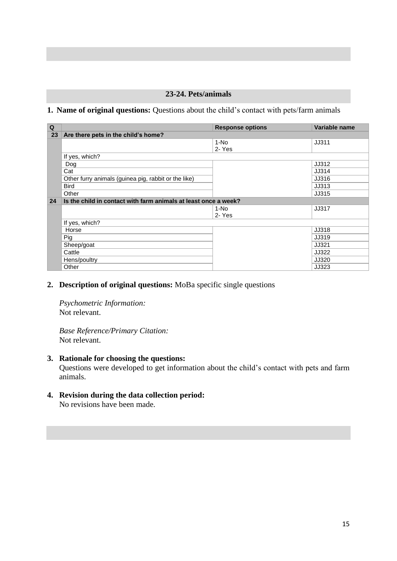### **23-24. Pets/animals**

#### <span id="page-14-0"></span>**1. Name of original questions:** Questions about the child's contact with pets/farm animals

| Q  |                                                                 | <b>Response options</b> | Variable name |
|----|-----------------------------------------------------------------|-------------------------|---------------|
| 23 | Are there pets in the child's home?                             |                         |               |
|    |                                                                 | $1-NO$                  | JJ311         |
|    |                                                                 | 2- Yes                  |               |
|    | If yes, which?                                                  |                         |               |
|    | Dog                                                             |                         | JJ312         |
|    | Cat                                                             |                         | JJ314         |
|    | Other furry animals (guinea pig, rabbit or the like)            |                         | JJ316         |
|    | <b>Bird</b>                                                     |                         | JJ313         |
|    | Other                                                           |                         | JJ315         |
| 24 | Is the child in contact with farm animals at least once a week? |                         |               |
|    |                                                                 | 1-No                    | JJ317         |
|    |                                                                 | 2- Yes                  |               |
|    | If yes, which?                                                  |                         |               |
|    | Horse                                                           |                         | JJ318         |
|    | Pig                                                             |                         | JJ319         |
|    | Sheep/goat                                                      |                         | JJ321         |
|    | Cattle                                                          |                         | JJ322         |
|    | Hens/poultry                                                    |                         | JJ320         |
|    | Other                                                           |                         | JJ323         |

#### **2. Description of original questions:** MoBa specific single questions

 *Psychometric Information:* Not relevant.

*Base Reference/Primary Citation:* Not relevant.

#### **3. Rationale for choosing the questions:**

 Questions were developed to get information about the child's contact with pets and farm animals.

**4. Revision during the data collection period:**

No revisions have been made.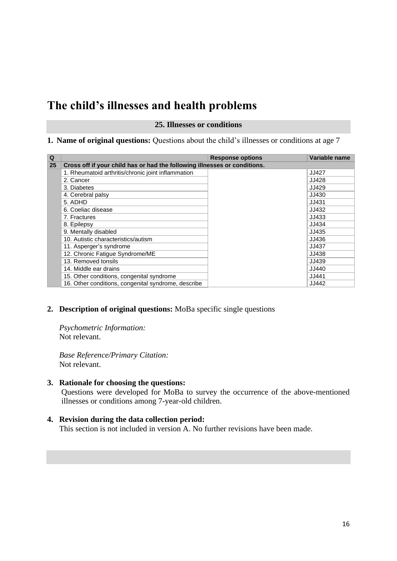# <span id="page-15-0"></span>**The child's illnesses and health problems**

#### **25. Illnesses or conditions**

#### **1. Name of original questions:** Questions about the child's illnesses or conditions at age 7

| Q  |                                                                           | <b>Response options</b> | Variable name |
|----|---------------------------------------------------------------------------|-------------------------|---------------|
| 25 | Cross off if your child has or had the following illnesses or conditions. |                         |               |
|    | 1. Rheumatoid arthritis/chronic joint inflammation                        |                         | JJ427         |
|    | 2. Cancer                                                                 |                         | JJ428         |
|    | 3. Diabetes                                                               |                         | JJ429         |
|    | 4. Cerebral palsy                                                         |                         | JJ430         |
|    | 5. ADHD                                                                   |                         | JJ431         |
|    | 6. Coeliac disease                                                        |                         | JJ432         |
|    | 7. Fractures                                                              |                         | JJ433         |
|    | 8. Epilepsy                                                               |                         | JJ434         |
|    | 9. Mentally disabled                                                      |                         | JJ435         |
|    | 10. Autistic characteristics/autism                                       |                         | JJ436         |
|    | 11. Asperger's syndrome                                                   |                         | JJ437         |
|    | 12. Chronic Fatigue Syndrome/ME                                           |                         | JJ438         |
|    | 13. Removed tonsils                                                       |                         | JJ439         |
|    | 14. Middle ear drains                                                     |                         | JJ440         |
|    | 15. Other conditions, congenital syndrome                                 |                         | JJ441         |
|    | 16. Other conditions, congenital syndrome, describe                       |                         | JJ442         |

### **2. Description of original questions:** MoBa specific single questions

 *Psychometric Information:* Not relevant.

*Base Reference/Primary Citation:* Not relevant.

**3. Rationale for choosing the questions:**

Questions were developed for MoBa to survey the occurrence of the above-mentioned illnesses or conditions among 7-year-old children.

#### **4. Revision during the data collection period:**

This section is not included in version A. No further revisions have been made.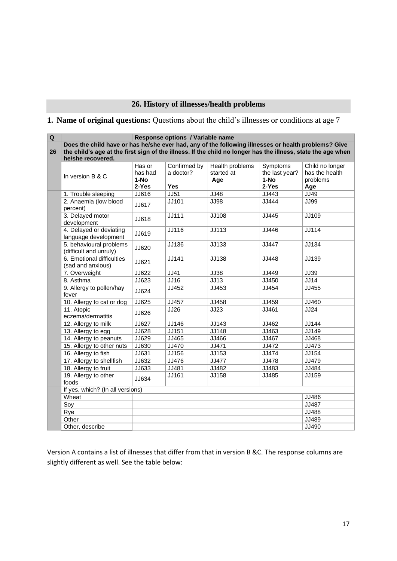### **26. History of illnesses/health problems**

### <span id="page-16-0"></span>**1. Name of original questions:** Questions about the child's illnesses or conditions at age 7

| $\overline{\mathbf{Q}}$ | Response options / Variable name                                                                             |                             |                           |                                             |                                      |                                               |
|-------------------------|--------------------------------------------------------------------------------------------------------------|-----------------------------|---------------------------|---------------------------------------------|--------------------------------------|-----------------------------------------------|
|                         | Does the child have or has he/she ever had, any of the following illnesses or health problems? Give          |                             |                           |                                             |                                      |                                               |
| 26                      | the child's age at the first sign of the illness. If the child no longer has the illness, state the age when |                             |                           |                                             |                                      |                                               |
|                         | he/she recovered.                                                                                            |                             |                           |                                             |                                      |                                               |
|                         | In version B & C                                                                                             | Has or<br>has had<br>$1-NO$ | Confirmed by<br>a doctor? | <b>Health problems</b><br>started at<br>Age | Symptoms<br>the last year?<br>$1-NO$ | Child no longer<br>has the health<br>problems |
|                         |                                                                                                              | 2-Yes                       | <b>Yes</b>                |                                             | 2-Yes                                | Age                                           |
|                         | 1. Trouble sleeping                                                                                          | JJ616                       | <b>JJ51</b>               | <b>JJ48</b>                                 | JJ443                                | JJ49                                          |
|                         | 2. Anaemia (low blood<br>percent)                                                                            | JJ617                       | JJ101                     | <b>JJ98</b>                                 | JJ444                                | <b>JJ99</b>                                   |
|                         | 3. Delayed motor<br>development                                                                              | JJ618                       | <b>JJ111</b>              | JJ108                                       | JJ445                                | JJ109                                         |
|                         | 4. Delayed or deviating<br>language development                                                              | JJ619                       | JJ116                     | JJ113                                       | JJ446                                | JJ114                                         |
|                         | 5. behavioural problems<br>(difficult and unruly)                                                            | JJ620                       | JJ136                     | JJ133                                       | JJ447                                | JJ134                                         |
|                         | 6. Emotional difficulties<br>(sad and anxious)                                                               | JJ621                       | JJ141                     | JJ138                                       | JJ448                                | JJ139                                         |
|                         | 7. Overweight                                                                                                | JJ622                       | JJ41                      | <b>JJ38</b>                                 | JJ449                                | JJ39                                          |
|                         | 8. Asthma                                                                                                    | JJ623                       | JJ16                      | JJ13                                        | JJ450                                | JJ14                                          |
|                         | 9. Allergy to pollen/hay<br>fever                                                                            | JJ624                       | JJ452                     | JJ453                                       | JJ454                                | JJ455                                         |
|                         | 10. Allergy to cat or dog                                                                                    | JJ625                       | JJ457                     | JJ458                                       | JJ459                                | JJ460                                         |
|                         | 11. Atopic<br>eczema/dermatitis                                                                              | JJ626                       | JJ26                      | JJ23                                        | JJ461                                | JJ24                                          |
|                         | 12. Allergy to milk                                                                                          | JJ627                       | JJ146                     | JJ143                                       | JJ462                                | JJ144                                         |
|                         | 13. Allergy to egg                                                                                           | JJ628                       | JJ151                     | JJ148                                       | JJ463                                | JJ149                                         |
|                         | 14. Allergy to peanuts                                                                                       | JJ629                       | JJ465                     | JJ466                                       | JJ467                                | JJ468                                         |
|                         | 15. Allergy to other nuts                                                                                    | JJ630                       | JJ470                     | JJ471                                       | JJ472                                | JJ473                                         |
|                         | 16. Allergy to fish                                                                                          | JJ631                       | JJ156                     | JJ153                                       | JJ474                                | JJ154                                         |
|                         | 17. Allergy to shellfish                                                                                     | JJ632                       | JJ476                     | JJ477                                       | JJ478                                | JJ479                                         |
|                         | 18. Allergy to fruit                                                                                         | JJ633                       | JJ481                     | JJ482                                       | JJ483                                | JJ484                                         |
|                         | 19. Allergy to other<br>foods                                                                                | JJ634                       | JJ161                     | JJ158                                       | JJ485                                | JJ159                                         |
|                         | If yes, which? (In all versions)                                                                             |                             |                           |                                             |                                      |                                               |
|                         | Wheat                                                                                                        |                             |                           |                                             |                                      | JJ486                                         |
|                         | Soy                                                                                                          |                             |                           |                                             |                                      | JJ487                                         |
|                         | Rye                                                                                                          |                             |                           |                                             |                                      | JJ488                                         |
|                         | Other                                                                                                        |                             |                           |                                             |                                      | JJ489                                         |
|                         | Other, describe                                                                                              |                             |                           |                                             |                                      | JJ490                                         |

Version A contains a list of illnesses that differ from that in version B &C. The response columns are slightly different as well. See the table below: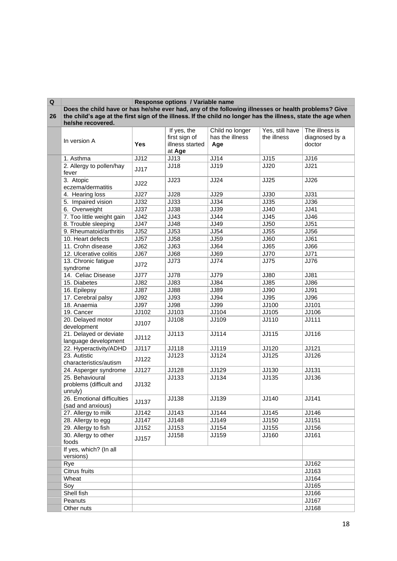| Q  |                                                                                                                                   |              | Response options / Variable name                          |                                           |                                |                                            |
|----|-----------------------------------------------------------------------------------------------------------------------------------|--------------|-----------------------------------------------------------|-------------------------------------------|--------------------------------|--------------------------------------------|
|    | Does the child have or has he/she ever had, any of the following illnesses or health problems? Give                               |              |                                                           |                                           |                                |                                            |
| 26 | the child's age at the first sign of the illness. If the child no longer has the illness, state the age when<br>he/she recovered. |              |                                                           |                                           |                                |                                            |
|    | In version A                                                                                                                      | <b>Yes</b>   | If yes, the<br>first sign of<br>illness started<br>at Age | Child no longer<br>has the illness<br>Age | Yes, still have<br>the illness | The illness is<br>diagnosed by a<br>doctor |
|    | 1. Asthma                                                                                                                         | JJ12         | JJ13                                                      | JJ14                                      | <b>JJ15</b>                    | JJ16                                       |
|    | 2. Allergy to pollen/hay<br>fever                                                                                                 | JJ17         | JJ18                                                      | <b>JJ19</b>                               | JJ20                           | JJ21                                       |
|    | 3. Atopic<br>eczema/dermatitis                                                                                                    | JJ22         | JJ23                                                      | <b>JJ24</b>                               | JJ25                           | <b>JJ26</b>                                |
|    | 4. Hearing loss                                                                                                                   | <b>JJ27</b>  | <b>JJ28</b>                                               | <b>JJ29</b>                               | JJ30                           | <b>JJ31</b>                                |
|    | 5. Impaired vision                                                                                                                | JJ32         | JJ33                                                      | <b>JJ34</b>                               | JJ35                           | <b>JJ36</b>                                |
|    | 6. Overweight                                                                                                                     | <b>JJ37</b>  | JJ38                                                      | <b>JJ39</b>                               | JJ40                           | <b>JJ41</b>                                |
|    | 7. Too little weight gain                                                                                                         | JJ42         | JJ43                                                      | <b>JJ44</b>                               | JJ45                           | JJ46                                       |
|    | 8. Trouble sleeping                                                                                                               | <b>JJ47</b>  | JJ48                                                      | <b>JJ49</b>                               | <b>JJ50</b>                    | JJ51                                       |
|    | 9. Rheumatoid/arthritis                                                                                                           | JJ52         | JJ53                                                      | <b>JJ54</b>                               | JJ55                           | <b>JJ56</b>                                |
|    | 10. Heart defects                                                                                                                 | <b>JJ57</b>  | <b>JJ58</b>                                               | <b>JJ59</b>                               | JJ60                           | <b>JJ61</b>                                |
|    | 11. Crohn disease                                                                                                                 | JJ62         | JJ63                                                      | JJ64                                      | JJ65                           | <b>JJ66</b>                                |
|    | 12. Ulcerative colitis                                                                                                            | JJ67         | <b>JJ68</b>                                               | <b>JJ69</b>                               | <b>JJ70</b>                    | <b>JJ71</b>                                |
|    | 13. Chronic fatigue<br>syndrome                                                                                                   | <b>JJ72</b>  | JJ73                                                      | <b>JJ74</b>                               | <b>JJ75</b>                    | <b>JJ76</b>                                |
|    | 14. Celiac Disease                                                                                                                | <b>JJ77</b>  | <b>JJ78</b>                                               | <b>JJ79</b>                               | <b>JJ80</b>                    | <b>JJ81</b>                                |
|    | 15. Diabetes                                                                                                                      | JJ82         | JJ83                                                      | <b>JJ84</b>                               | JJ85                           | <b>JJ86</b>                                |
|    | 16. Epilepsy                                                                                                                      | <b>JJ87</b>  | <b>JJ88</b>                                               | $J\overline{J89}$                         | JJ90                           | <b>JJ91</b>                                |
|    | 17. Cerebral palsy                                                                                                                | JJ92         | JJ93                                                      | <b>JJ94</b>                               | JJ95                           | <b>JJ96</b>                                |
|    | 18. Anaemia                                                                                                                       | <b>JJ97</b>  | <b>JJ98</b>                                               | <b>JJ99</b>                               | JJ100                          | JJ101                                      |
|    | 19. Cancer                                                                                                                        | JJ102        | JJ103                                                     | JJ104                                     | JJ105                          | JJ106                                      |
|    | 20. Delayed motor<br>development                                                                                                  | JJ107        | JJ108                                                     | JJ109                                     | JJ110                          | <b>JJ111</b>                               |
|    | 21. Delayed or deviate<br>language development                                                                                    | JJ112        | JJ113                                                     | JJ114                                     | JJ115                          | JJ116                                      |
|    | 22. Hyperactivity/ADHD                                                                                                            | JJ117        | JJ118                                                     | JJ119                                     | JJ120                          | JJ121                                      |
|    | 23. Autistic<br>characteristics/autism                                                                                            | JJ122        | JJ123                                                     | JJ124                                     | JJ125                          | JJ126                                      |
|    | 24. Asperger syndrome                                                                                                             | JJ127        | JJ128                                                     | JJ129                                     | JJ130                          | <b>JJ131</b>                               |
|    | 25. Behavioural<br>problems (difficult and<br>unruly)                                                                             | JJ132        | JJ133                                                     | JJ134                                     | JJ135                          | JJ136                                      |
|    | 26. Emotional difficulties<br>(sad and anxious)                                                                                   | <b>JJ137</b> | JJ138                                                     | JJ139                                     | JJ140                          | <b>JJ141</b>                               |
|    | 27. Allergy to milk                                                                                                               | JJ142        | JJ143                                                     | JJ144                                     | JJ145                          | JJ146                                      |
|    | 28. Allergy to egg                                                                                                                | <b>JJ147</b> | JJ148                                                     | JJ149                                     | JJ150                          | JJ151                                      |
|    | 29. Allergy to fish                                                                                                               | JJ152        | JJ153                                                     | JJ154                                     | JJ155                          | JJ156                                      |
|    | 30. Allergy to other<br>foods                                                                                                     | JJ157        | JJ158                                                     | JJ159                                     | JJ160                          | JJ161                                      |
|    | If yes, which? (In all<br>versions)                                                                                               |              |                                                           |                                           |                                |                                            |
|    | Rye                                                                                                                               |              |                                                           |                                           |                                | JJ162                                      |
|    | Citrus fruits                                                                                                                     |              |                                                           |                                           |                                | JJ163                                      |
|    | Wheat                                                                                                                             |              |                                                           |                                           |                                | JJ164                                      |
|    | Soy                                                                                                                               |              |                                                           |                                           |                                | JJ165                                      |
|    | Shell fish                                                                                                                        |              |                                                           |                                           |                                | JJ166                                      |
|    | Peanuts                                                                                                                           |              |                                                           |                                           |                                | JJ167                                      |
|    | Other nuts                                                                                                                        |              |                                                           |                                           |                                | JJ168                                      |

÷.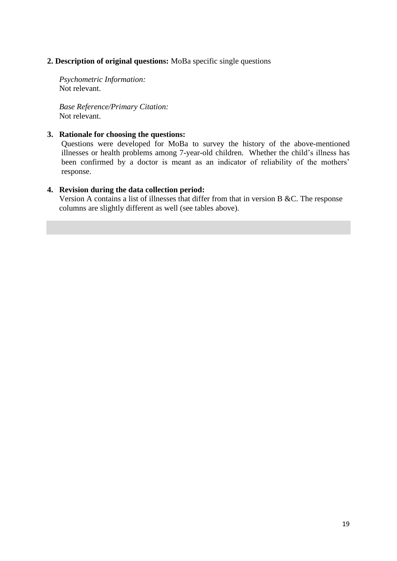### **2. Description of original questions:** MoBa specific single questions

 *Psychometric Information:* Not relevant.

*Base Reference/Primary Citation:* Not relevant.

#### **3. Rationale for choosing the questions:**

Questions were developed for MoBa to survey the history of the above-mentioned illnesses or health problems among 7-year-old children. Whether the child's illness has been confirmed by a doctor is meant as an indicator of reliability of the mothers' response.

#### **4. Revision during the data collection period:**

Version A contains a list of illnesses that differ from that in version B &C. The response columns are slightly different as well (see tables above).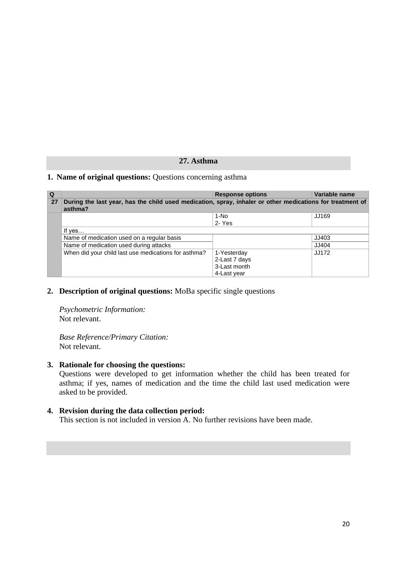### **27. Asthma**

#### <span id="page-19-0"></span>**1. Name of original questions:** Questions concerning asthma

| Q  |                                                                                                                      | <b>Response options</b> | Variable name |  |
|----|----------------------------------------------------------------------------------------------------------------------|-------------------------|---------------|--|
| 27 | During the last year, has the child used medication, spray, inhaler or other medications for treatment of<br>asthma? |                         |               |  |
|    |                                                                                                                      | 1-No                    | JJ169         |  |
|    |                                                                                                                      | 2-Yes                   |               |  |
|    | If $ves$                                                                                                             |                         |               |  |
|    | Name of medication used on a regular basis                                                                           |                         | JJ403         |  |
|    | Name of medication used during attacks                                                                               |                         | JJ404         |  |
|    | When did your child last use medications for asthma?                                                                 | 1-Yesterday             | JJ172         |  |
|    |                                                                                                                      | 2-Last 7 days           |               |  |
|    |                                                                                                                      | 3-Last month            |               |  |
|    |                                                                                                                      | 4-Last year             |               |  |

**2. Description of original questions:** MoBa specific single questions

 *Psychometric Information:* Not relevant.

*Base Reference/Primary Citation:* Not relevant.

#### **3. Rationale for choosing the questions:**

 Questions were developed to get information whether the child has been treated for asthma; if yes, names of medication and the time the child last used medication were asked to be provided.

#### **4. Revision during the data collection period:**

This section is not included in version A. No further revisions have been made.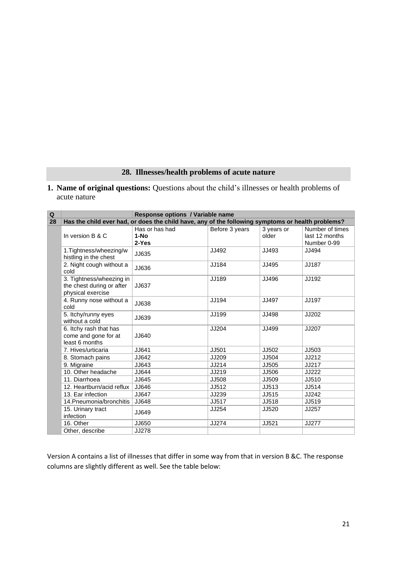### **28. Illnesses/health problems of acute nature**

<span id="page-20-0"></span>**1. Name of original questions:** Questions about the child's illnesses or health problems of acute nature

| $\overline{\mathbf{Q}}$ | Response options / Variable name                                           |                                                                                                   |                |                     |                                                  |  |
|-------------------------|----------------------------------------------------------------------------|---------------------------------------------------------------------------------------------------|----------------|---------------------|--------------------------------------------------|--|
| 28                      |                                                                            | Has the child ever had, or does the child have, any of the following symptoms or health problems? |                |                     |                                                  |  |
|                         | In version B & C                                                           | Has or has had<br>$1-NO$<br>2-Yes                                                                 | Before 3 years | 3 years or<br>older | Number of times<br>last 12 months<br>Number 0-99 |  |
|                         | 1. Tightness/wheezing/w<br>histling in the chest                           | JJ635                                                                                             | JJ492          | JJ493               | JJ494                                            |  |
|                         | 2. Night cough without a<br>cold                                           | JJ636                                                                                             | JJ184          | JJ495               | JJ187                                            |  |
|                         | 3. Tightness/wheezing in<br>the chest during or after<br>physical exercise | JJ637                                                                                             | JJ189          | JJ496               | JJ192                                            |  |
|                         | 4. Runny nose without a<br>cold                                            | JJ638                                                                                             | JJ194          | JJ497               | JJ197                                            |  |
|                         | 5. Itchy/runny eyes<br>without a cold                                      | JJ639                                                                                             | JJ199          | JJ498               | JJ202                                            |  |
|                         | 6. Itchy rash that has<br>come and gone for at<br>least 6 months           | JJ640                                                                                             | JJ204          | JJ499               | JJ207                                            |  |
|                         | 7. Hives/urticaria                                                         | JJ641                                                                                             | JJ501          | JJ502               | JJ503                                            |  |
|                         | 8. Stomach pains                                                           | JJ642                                                                                             | JJ209          | JJ504               | JJ212                                            |  |
|                         | 9. Migraine                                                                | JJ643                                                                                             | JJ214          | JJ505               | JJ217                                            |  |
|                         | 10. Other headache                                                         | JJ644                                                                                             | JJ219          | JJ506               | JJ222                                            |  |
|                         | 11. Diarrhoea                                                              | JJ645                                                                                             | JJ508          | JJ509               | JJ510                                            |  |
|                         | 12. Heartburn/acid reflux                                                  | JJ646                                                                                             | JJ512          | JJ513               | JJ514                                            |  |
|                         | 13. Ear infection                                                          | JJ647                                                                                             | JJ239          | JJ515               | JJ242                                            |  |
|                         | 14. Pneumonia/bronchitis                                                   | JJ648                                                                                             | JJ517          | JJ518               | JJ519                                            |  |
|                         | 15. Urinary tract<br>infection                                             | JJ649                                                                                             | JJ254          | JJ520               | JJ257                                            |  |
|                         | 16. Other                                                                  | JJ650                                                                                             | JJ274          | JJ521               | JJ277                                            |  |
|                         | Other, describe                                                            | JJ278                                                                                             |                |                     |                                                  |  |

Version A contains a list of illnesses that differ in some way from that in version B &C. The response columns are slightly different as well. See the table below: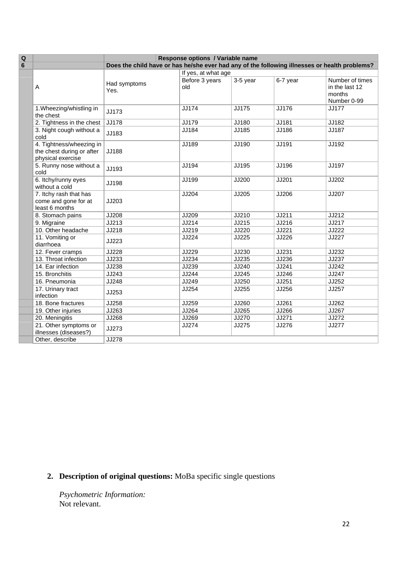| $\mathbf Q$     |                                                                            | Response options / Variable name                                                              |                       |            |          |                                                            |
|-----------------|----------------------------------------------------------------------------|-----------------------------------------------------------------------------------------------|-----------------------|------------|----------|------------------------------------------------------------|
| $6\phantom{1}6$ |                                                                            | Does the child have or has he/she ever had any of the following illnesses or health problems? |                       |            |          |                                                            |
|                 |                                                                            |                                                                                               | If yes, at what age   |            |          |                                                            |
|                 | Α                                                                          | Had symptoms<br>Yes.                                                                          | Before 3 years<br>old | $3-5$ year | 6-7 year | Number of times<br>in the last 12<br>months<br>Number 0-99 |
|                 | 1. Wheezing/whistling in<br>the chest                                      | JJ173                                                                                         | JJ174                 | JJ175      | JJ176    | <b>JJ177</b>                                               |
|                 | 2. Tightness in the chest                                                  | JJ178                                                                                         | JJ179                 | JJ180      | JJ181    | JJ182                                                      |
|                 | 3. Night cough without a<br>cold                                           | JJ183                                                                                         | JJ184                 | JJ185      | JJ186    | JJ187                                                      |
|                 | 4. Tightness/wheezing in<br>the chest during or after<br>physical exercise | JJ188                                                                                         | JJ189                 | JJ190      | JJ191    | JJ192                                                      |
|                 | 5. Runny nose without a<br>cold                                            | JJ193                                                                                         | JJ194                 | JJ195      | JJ196    | JJ197                                                      |
|                 | 6. Itchy/runny eyes<br>without a cold                                      | JJ198                                                                                         | JJ199                 | JJ200      | JJ201    | JJ202                                                      |
|                 | 7. Itchy rash that has<br>come and gone for at<br>least 6 months           | JJ203                                                                                         | JJ204                 | JJ205      | JJ206    | JJ207                                                      |
|                 | 8. Stomach pains                                                           | JJ208                                                                                         | JJ209                 | JJ210      | JJ211    | JJ212                                                      |
|                 | 9. Migraine                                                                | JJ213                                                                                         | JJ214                 | JJ215      | JJ216    | JJ217                                                      |
|                 | 10. Other headache                                                         | JJ218                                                                                         | JJ219                 | JJ220      | JJ221    | JJ222                                                      |
|                 | 11. Vomiting or<br>diarrhoea                                               | JJ223                                                                                         | JJ224                 | JJ225      | JJ226    | JJ227                                                      |
|                 | 12. Fever cramps                                                           | JJ228                                                                                         | JJ229                 | JJ230      | JJ231    | JJ232                                                      |
|                 | 13. Throat infection                                                       | JJ233                                                                                         | JJ234                 | JJ235      | JJ236    | JJ237                                                      |
|                 | 14. Ear infection                                                          | JJ238                                                                                         | JJ239                 | JJ240      | JJ241    | JJ242                                                      |
|                 | 15. Bronchitis                                                             | JJ243                                                                                         | JJ244                 | JJ245      | JJ246    | JJ247                                                      |
|                 | 16. Pneumonia                                                              | JJ248                                                                                         | JJ249                 | JJ250      | JJ251    | JJ252                                                      |
|                 | 17. Urinary tract<br>infection                                             | JJ253                                                                                         | JJ254                 | JJ255      | JJ256    | JJ257                                                      |
|                 | 18. Bone fractures                                                         | JJ258                                                                                         | JJ259                 | JJ260      | JJ261    | JJ262                                                      |
|                 | 19. Other injuries                                                         | JJ263                                                                                         | JJ264                 | JJ265      | JJ266    | JJ267                                                      |
|                 | 20. Meningitis                                                             | JJ268                                                                                         | JJ269                 | JJ270      | JJ271    | JJ272                                                      |
|                 | 21. Other symptoms or<br>illnesses (diseases?)                             | JJ273                                                                                         | JJ274                 | JJ275      | JJ276    | <b>JJ277</b>                                               |
|                 | Other, describe                                                            | <b>JJ278</b>                                                                                  |                       |            |          |                                                            |

### **2. Description of original questions:** MoBa specific single questions

 *Psychometric Information:* Not relevant.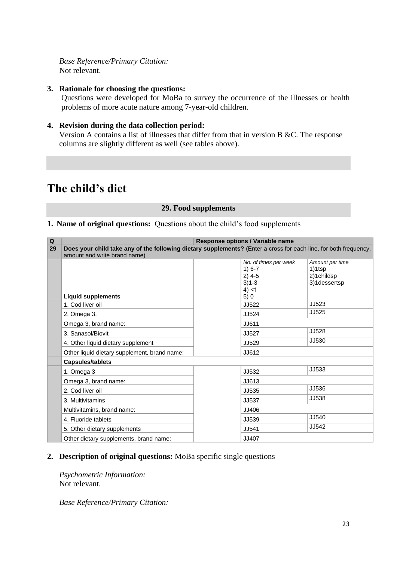*Base Reference/Primary Citation:* Not relevant.

#### **3. Rationale for choosing the questions:**

Questions were developed for MoBa to survey the occurrence of the illnesses or health problems of more acute nature among 7-year-old children.

#### **4. Revision during the data collection period:**

Version A contains a list of illnesses that differ from that in version B &C. The response columns are slightly different as well (see tables above).

# <span id="page-22-0"></span>**The child's diet**

#### **29. Food supplements**

### **1. Name of original questions:** Questions about the child's food supplements

| Q                             |                                                                                                                  | Response options / Variable name |                 |  |  |
|-------------------------------|------------------------------------------------------------------------------------------------------------------|----------------------------------|-----------------|--|--|
| 29                            | Does your child take any of the following dietary supplements? (Enter a cross for each line, for both frequency, |                                  |                 |  |  |
|                               | amount and write brand name)                                                                                     |                                  |                 |  |  |
|                               |                                                                                                                  | No. of times per week            | Amount per time |  |  |
|                               |                                                                                                                  | $1) 6-7$                         | 1)1tsp          |  |  |
|                               |                                                                                                                  | $2)$ 4-5                         | 2)1childsp      |  |  |
|                               |                                                                                                                  | $3)1 - 3$                        | 3)1dessertsp    |  |  |
|                               |                                                                                                                  | 4) < 1                           |                 |  |  |
|                               | <b>Liquid supplements</b>                                                                                        | 5)0                              |                 |  |  |
|                               | 1. Cod liver oil                                                                                                 | JJ522                            | JJ523           |  |  |
|                               | 2. Omega 3,                                                                                                      | JJ524                            | JJ525           |  |  |
| JJ611<br>Omega 3, brand name: |                                                                                                                  |                                  |                 |  |  |
|                               | 3. Sanasol/Biovit                                                                                                | <b>JJ527</b>                     | JJ528           |  |  |
|                               | 4. Other liquid dietary supplement                                                                               | JJ529                            | JJ530           |  |  |
|                               | Other liquid dietary supplement, brand name:                                                                     | JJ612                            |                 |  |  |
|                               | <b>Capsules/tablets</b>                                                                                          |                                  |                 |  |  |
|                               | 1. Omega 3                                                                                                       | JJ532                            | JJ533           |  |  |
|                               | Omega 3, brand name:                                                                                             | JJ613                            |                 |  |  |
|                               | 2. Cod liver oil                                                                                                 | JJ535                            | JJ536           |  |  |
|                               | 3. Multivitamins                                                                                                 | JJ537                            | JJ538           |  |  |
|                               | Multivitamins, brand name:                                                                                       | JJ406                            |                 |  |  |
|                               | 4. Fluoride tablets                                                                                              | JJ539                            | JJ540           |  |  |
|                               | 5. Other dietary supplements                                                                                     | JJ541                            | JJ542           |  |  |
|                               | Other dietary supplements, brand name:                                                                           | JJ407                            |                 |  |  |

#### **2. Description of original questions:** MoBa specific single questions

 *Psychometric Information:* Not relevant.

*Base Reference/Primary Citation:*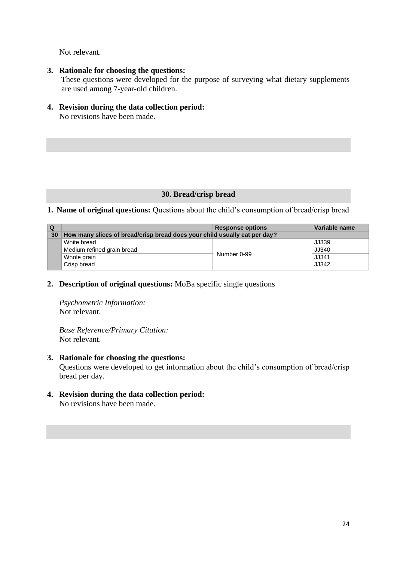Not relevant.

- **3. Rationale for choosing the questions:** These questions were developed for the purpose of surveying what dietary supplements are used among 7-year-old children.
- **4. Revision during the data collection period:** No revisions have been made.

#### **30. Bread/crisp bread**

#### <span id="page-23-0"></span>**1. Name of original questions:** Questions about the child's consumption of bread/crisp bread

| Q  |                                                                           | <b>Response options</b> | Variable name |
|----|---------------------------------------------------------------------------|-------------------------|---------------|
| 30 | How many slices of bread/crisp bread does your child usually eat per day? |                         |               |
|    | White bread                                                               |                         | JJ339         |
|    | Medium refined grain bread                                                |                         | JJ340         |
|    | Whole grain                                                               | Number 0-99             | JJ341         |
|    | Crisp bread                                                               |                         | JJ342         |

#### **2. Description of original questions:** MoBa specific single questions

 *Psychometric Information:* Not relevant.

*Base Reference/Primary Citation:* Not relevant.

- **3. Rationale for choosing the questions:** Questions were developed to get information about the child's consumption of bread/crisp bread per day.
- **4. Revision during the data collection period:** No revisions have been made.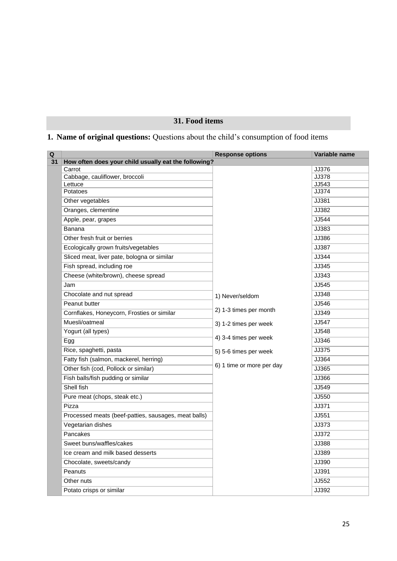### **31. Food items**

## <span id="page-24-0"></span>**1. Name of original questions:** Questions about the child's consumption of food items

| $\overline{\mathbf{Q}}$ |                                                      | <b>Response options</b>   | Variable name  |
|-------------------------|------------------------------------------------------|---------------------------|----------------|
| 31                      | How often does your child usually eat the following? |                           |                |
|                         | Carrot                                               |                           | JJ376          |
|                         | Cabbage, cauliflower, broccoli<br>Lettuce            |                           | JJ378<br>JJ543 |
|                         | Potatoes                                             |                           | JJ374          |
|                         | Other vegetables                                     |                           | JJ381          |
|                         | Oranges, clementine                                  |                           | JJ382          |
|                         | Apple, pear, grapes                                  |                           | JJ544          |
|                         | Banana                                               |                           | JJ383          |
|                         | Other fresh fruit or berries                         |                           | JJ386          |
|                         | Ecologically grown fruits/vegetables                 |                           | JJ387          |
|                         | Sliced meat, liver pate, bologna or similar          |                           | JJ344          |
|                         | Fish spread, including roe                           |                           | JJ345          |
|                         | Cheese (white/brown), cheese spread                  |                           | JJ343          |
|                         | Jam                                                  |                           | JJ545          |
|                         | Chocolate and nut spread                             | 1) Never/seldom           | JJ348          |
|                         | Peanut butter                                        |                           | JJ546          |
|                         | Cornflakes, Honeycorn, Frosties or similar           | 2) 1-3 times per month    | JJ349          |
|                         | Muesli/oatmeal                                       | 3) 1-2 times per week     | JJ547          |
|                         | Yogurt (all types)                                   |                           | JJ548          |
|                         | Egg                                                  | 4) 3-4 times per week     | JJ346          |
|                         | Rice, spaghetti, pasta                               | 5) 5-6 times per week     | JJ375          |
|                         | Fatty fish (salmon, mackerel, herring)               |                           | JJ364          |
|                         | Other fish (cod, Pollock or similar)                 | 6) 1 time or more per day | JJ365          |
|                         | Fish balls/fish pudding or similar                   |                           | JJ366          |
|                         | Shell fish                                           |                           | JJ549          |
|                         | Pure meat (chops, steak etc.)                        |                           | JJ550          |
|                         | Pizza                                                |                           | JJ371          |
|                         | Processed meats (beef-patties, sausages, meat balls) |                           | JJ551          |
|                         | Vegetarian dishes                                    |                           | JJ373          |
|                         | Pancakes                                             |                           | JJ372          |
|                         | Sweet buns/waffles/cakes                             |                           | JJ388          |
|                         | Ice cream and milk based desserts                    |                           | JJ389          |
|                         | Chocolate, sweets/candy                              |                           | JJ390          |
|                         | Peanuts                                              |                           | JJ391          |
|                         | Other nuts                                           |                           | JJ552          |
|                         | Potato crisps or similar                             |                           | JJ392          |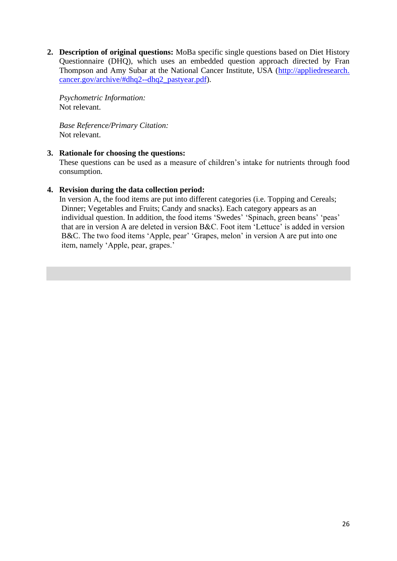**2. Description of original questions:** MoBa specific single questions based on Diet History Questionnaire (DHQ), which uses an embedded question approach directed by Fran Thompson and Amy Subar at the National Cancer Institute, USA (http://appliedresearch. cancer.gov/archive/#dhq2--dhq2\_pastyear.pdf).

 *Psychometric Information:* Not relevant.

*Base Reference/Primary Citation:* Not relevant.

#### **3. Rationale for choosing the questions:**

 These questions can be used as a measure of children's intake for nutrients through food consumption.

#### **4. Revision during the data collection period:**

In version A, the food items are put into different categories (i.e. Topping and Cereals; Dinner; Vegetables and Fruits; Candy and snacks). Each category appears as an individual question. In addition, the food items 'Swedes' 'Spinach, green beans' 'peas' that are in version A are deleted in version B&C. Foot item 'Lettuce' is added in version B&C. The two food items 'Apple, pear' 'Grapes, melon' in version A are put into one item, namely 'Apple, pear, grapes.'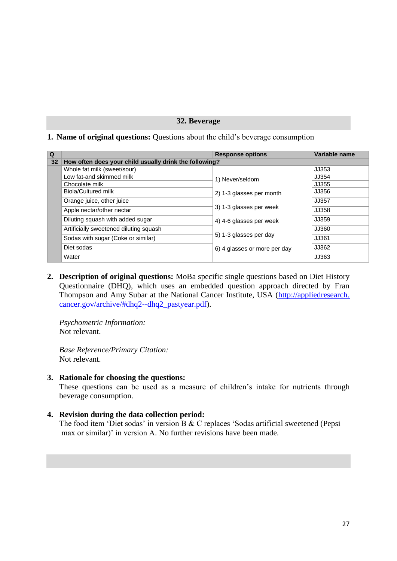#### **32. Beverage**

#### <span id="page-26-0"></span>**1. Name of original questions:** Questions about the child's beverage consumption

| Q               |                                                        | <b>Response options</b>      | Variable name |
|-----------------|--------------------------------------------------------|------------------------------|---------------|
| 32 <sub>2</sub> | How often does your child usually drink the following? |                              |               |
|                 | Whole fat milk (sweet/sour)                            |                              | JJ353         |
|                 | Low fat-and skimmed milk                               | 1) Never/seldom              | JJ354         |
|                 | Chocolate milk                                         |                              | JJ355         |
|                 | Biola/Cultured milk                                    | 2) 1-3 glasses per month     | JJ356         |
|                 | Orange juice, other juice                              |                              | JJ357         |
|                 | Apple nectar/other nectar                              | 3) 1-3 glasses per week      | JJ358         |
|                 | Diluting squash with added sugar                       | 4) 4-6 glasses per week      | JJ359         |
|                 | Artificially sweetened diluting squash                 |                              | JJ360         |
|                 | Sodas with sugar (Coke or similar)                     | 5) 1-3 glasses per day       | JJ361         |
|                 | Diet sodas                                             | 6) 4 glasses or more per day | JJ362         |
|                 | Water                                                  |                              | JJ363         |

**2. Description of original questions:** MoBa specific single questions based on Diet History Questionnaire (DHQ), which uses an embedded question approach directed by Fran Thompson and Amy Subar at the National Cancer Institute, USA (http://appliedresearch. cancer.gov/archive/#dhq2--dhq2\_pastyear.pdf).

 *Psychometric Information:* Not relevant.

*Base Reference/Primary Citation:* Not relevant.

**3. Rationale for choosing the questions:**

 These questions can be used as a measure of children's intake for nutrients through beverage consumption.

#### **4. Revision during the data collection period:**

The food item 'Diet sodas' in version B & C replaces 'Sodas artificial sweetened (Pepsi max or similar)' in version A. No further revisions have been made.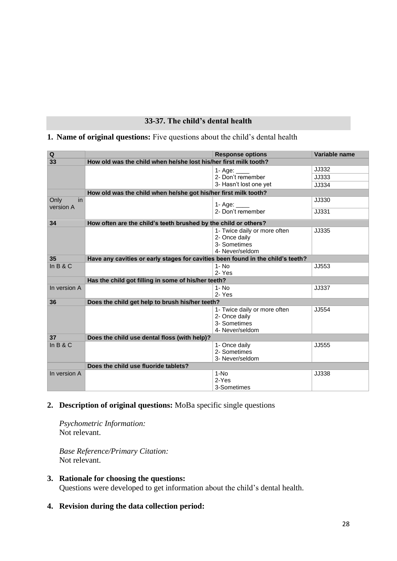### **33-37. The child's dental health**

### <span id="page-27-0"></span>**1. Name of original questions:** Five questions about the child's dental health

| Q                       | <b>Response options</b>                                                         |                              | Variable name |  |  |
|-------------------------|---------------------------------------------------------------------------------|------------------------------|---------------|--|--|
| 33                      | How old was the child when he/she lost his/her first milk tooth?                |                              |               |  |  |
|                         |                                                                                 | 1- Age: $\frac{ }{ }$        | JJ332         |  |  |
|                         |                                                                                 | 2- Don't remember            | JJ333         |  |  |
|                         |                                                                                 | 3- Hasn't lost one yet       | JJ334         |  |  |
|                         | How old was the child when he/she got his/her first milk tooth?                 |                              |               |  |  |
| Only<br>in<br>version A |                                                                                 | 1- Age: $\frac{1}{2}$        | JJ330         |  |  |
|                         |                                                                                 | 2- Don't remember            | JJ331         |  |  |
| 34                      | How often are the child's teeth brushed by the child or others?                 |                              |               |  |  |
|                         |                                                                                 | 1- Twice daily or more often | JJ335         |  |  |
|                         |                                                                                 | 2- Once daily                |               |  |  |
|                         |                                                                                 | 3- Sometimes                 |               |  |  |
|                         | 4- Never/seldom                                                                 |                              |               |  |  |
| 35                      | Have any cavities or early stages for cavities been found in the child's teeth? |                              |               |  |  |
| In $B & C$              |                                                                                 | $1 - No$<br>2- Yes           | JJ553         |  |  |
|                         |                                                                                 |                              |               |  |  |
|                         | Has the child got filling in some of his/her teeth?                             |                              |               |  |  |
| In version A            |                                                                                 | $1 - No$                     | JJ337         |  |  |
|                         |                                                                                 | 2-Yes                        |               |  |  |
| 36                      | Does the child get help to brush his/her teeth?                                 |                              |               |  |  |
|                         |                                                                                 | 1- Twice daily or more often | JJ554         |  |  |
|                         |                                                                                 | 2- Once daily                |               |  |  |
|                         |                                                                                 | 3- Sometimes                 |               |  |  |
|                         | 4- Never/seldom                                                                 |                              |               |  |  |
| 37                      | Does the child use dental floss (with help)?                                    |                              |               |  |  |
| In $B & C$              |                                                                                 | 1- Once daily                | JJ555         |  |  |
|                         |                                                                                 | 2- Sometimes                 |               |  |  |
|                         |                                                                                 | 3- Never/seldom              |               |  |  |
|                         | Does the child use fluoride tablets?                                            |                              |               |  |  |
| In version A            |                                                                                 | $1-NO$                       | JJ338         |  |  |
|                         |                                                                                 | 2-Yes                        |               |  |  |
|                         |                                                                                 | 3-Sometimes                  |               |  |  |

### **2. Description of original questions:** MoBa specific single questions

 *Psychometric Information:* Not relevant.

*Base Reference/Primary Citation:* Not relevant.

- **3. Rationale for choosing the questions:** Questions were developed to get information about the child's dental health.
- **4. Revision during the data collection period:**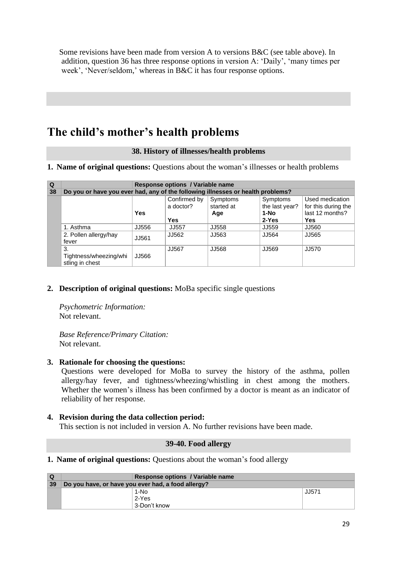Some revisions have been made from version A to versions B&C (see table above). In addition, question 36 has three response options in version A: 'Daily', 'many times per week', 'Never/seldom,' whereas in B&C it has four response options.

# <span id="page-28-0"></span>**The child's mother's health problems**

#### **38. History of illnesses/health problems**

**1. Name of original questions:** Questions about the woman's illnesses or health problems

| $\Omega$ | Response options / Variable name                                                |            |                           |                        |                                   |                                        |
|----------|---------------------------------------------------------------------------------|------------|---------------------------|------------------------|-----------------------------------|----------------------------------------|
| 38       | Do you or have you ever had, any of the following illnesses or health problems? |            |                           |                        |                                   |                                        |
|          |                                                                                 |            | Confirmed by<br>a doctor? | Symptoms<br>started at | <b>Symptoms</b><br>the last year? | Used medication<br>for this during the |
|          |                                                                                 | <b>Yes</b> |                           | Age                    | 1-No                              | last 12 months?                        |
|          |                                                                                 |            | Yes                       |                        | $2-Yes$                           | Yes                                    |
|          | 1. Asthma                                                                       | JJ556      | <b>JJ557</b>              | JJ558                  | JJ559                             | JJ560                                  |
|          | 2. Pollen allergy/hay<br>fever                                                  | JJ561      | JJ562                     | JJ563                  | JJ564                             | JJ565                                  |
|          | 3.<br>Tightness/wheezing/whi<br>stling in chest                                 | JJ566      | JJ567                     | JJ568                  | JJ569                             | JJ570                                  |

### **2. Description of original questions:** MoBa specific single questions

 *Psychometric Information:* Not relevant.

*Base Reference/Primary Citation:* Not relevant.

### **3. Rationale for choosing the questions:**

Questions were developed for MoBa to survey the history of the asthma, pollen allergy/hay fever, and tightness/wheezing/whistling in chest among the mothers. Whether the women's illness has been confirmed by a doctor is meant as an indicator of reliability of her response.

### **4. Revision during the data collection period:**

<span id="page-28-1"></span>This section is not included in version A. No further revisions have been made.

#### **39-40. Food allergy**

**1. Name of original questions:** Questions about the woman's food allergy

| $\Omega$ |                                                    | Response options / Variable name |       |  |  |
|----------|----------------------------------------------------|----------------------------------|-------|--|--|
| 39       | Do you have, or have you ever had, a food allergy? |                                  |       |  |  |
|          |                                                    | 1-No                             | JJ571 |  |  |
|          |                                                    | 2-Yes                            |       |  |  |
|          |                                                    | 3-Don't know                     |       |  |  |